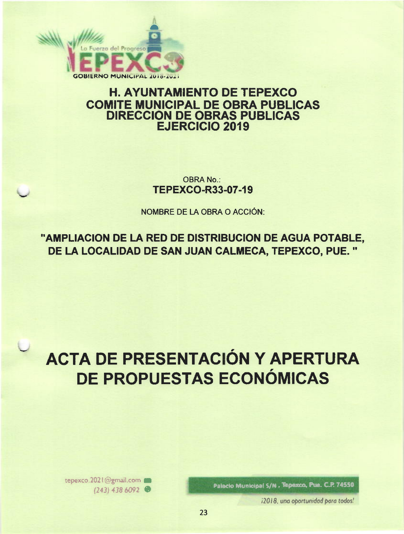

## **H. AYUNTAMIENTO DE TEPEXCO COMITE MUNICIPAL DE OBRA PUBLICAS DIRECCION DE OBRAS PUBLICAS EJERCICIO 2019**

**OBRA No.: TEPEXCO-R33-07-19** 

NOMBRE DE LA OBRA O ACCIÓN:

"AMPLIACION DE LA RED DE DISTRIBUCION DE AGUA POTABLE, DE LA LOCALIDAD DE SAN JUAN CALMECA, TEPEXCO, PUE."

# **ACTA DE PRESENTACIÓN Y APERTURA** DE PROPUESTAS ECONÓMICAS

Palacio Municipal S/N. Tepexco, Pue. C.P. 74550

i2018, una oportunidad para todos!

tepexco.2021@gmail.com  $(243)$  438 6092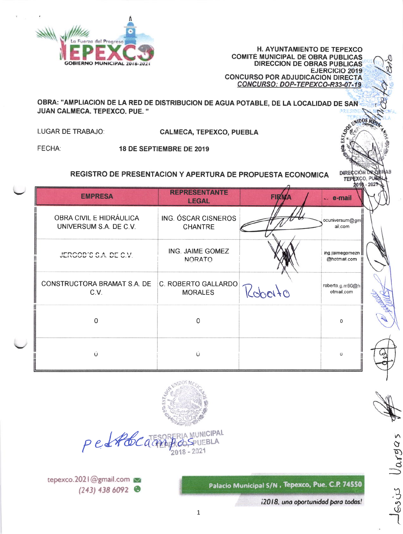

H. AYUNTAMIENTO DE TEPEXCO **COMITÉ MUNICIPAL DE OBRA PÚBLICAS** DIRECCION DE OBRAS PÚBLICAS **EJERCICIO 2019 CONCURSO POR ADJUDICACION DIRECTA** CONCURSO: DOP-TEPEXCO-R33-07-19

DIRE

TEPEXCO, PU

OBRA: "AMPLIACION DE LA RED DE DISTRIBUCION DE AGUA POTABLE, DE LA LOCALIDAD DE SAN JUAN CALMECA, TEPEXCO, PUE."

LUGAR DE TRABAJO:

**CALMECA, TEPEXCO, PUEBLA** 

FECHA:

18 DE SEPTIEMBRE DE 2019

### REGISTRO DE PRESENTACION Y APERTURA DE PROPUESTA ECONOMICA

| <b>EMPRESA</b>                                    | <b>REPRESENTANTE</b><br><b>LEGAL</b>  | <b>FIRMA</b>                             | $-$ e-mail                      |  |
|---------------------------------------------------|---------------------------------------|------------------------------------------|---------------------------------|--|
| OBRA CIVIL E HIDRÁULICA<br>UNIVERSUM S.A. DE C.V. | ING. ÓSCAR CISNEROS<br><b>CHANTRE</b> |                                          | ocuniversum@gm<br>ail.com       |  |
| JERCOD'S S.A. DE C.V.                             | ING. JAIME GOMEZ<br><b>NORATO</b>     |                                          | ing jaimegomezn<br>@hotmail.com |  |
| CONSTRUCTORA BRAMAT S.A. DE<br>C.V.               | C. ROBERTO GALLARDO<br><b>MORALES</b> | roberto.g.m90@h<br>Roberto<br>otmail.com |                                 |  |
| O                                                 | O                                     |                                          | $\Omega$                        |  |
| $\overline{U}$                                    | $\cup$<br>$\overline{O}$              |                                          |                                 |  |



petAbcata **BLA**  $018 - 2021$ 

Palacio Municipal S/N , Tepexco, Pue. C.P. 74550

i2018, una oportunidad para todos!

Gojus Varga

tepexco.2021@gmail.com  $(243)$  438 6092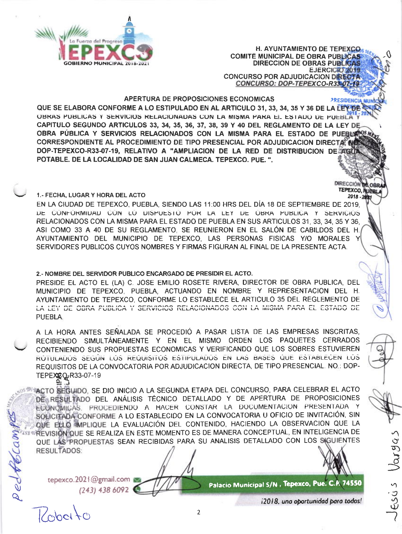

**H. AYUNTAMIENTO DE TEPEXCO. COMITÉ MUNICIPAL DE OBRA PUBLICAS DIRECCION DE OBRAS PUBLICA** EJERCICIO 2019 **CONCURSO POR ADJUDICACION DIRECTA** CONCURSO: DOP-TEPEXCO-R33-07-19

*PRESIDENCIA MUN* 

**DIRECCIÓN TEPEXCO, AUGRIL** 

 $2018 - 20$ 

Varga

16545

APERTURA DE PROPOSICIONES ECONOMICAS

QUE SE ELABORA CONFORME A LO ESTIPULADO EN AL ARTICULO 31, 33, 34, 35 Y 36 DE LA LEY DE V **OBRAS PUBLICAS Y SERVICIOS RELACIONADAS CON LA MISMA PARA EL ESTADO DE PUEBLA Y** CAPITULO SEGUNDO ARTICULOS 33, 34, 35, 36, 37, 38, 39 Y 40 DEL REGLAMENTO DE LA LEY DE OBRA PÚBLICA Y SERVICIOS RELACIONADOS CON LA MISMA PARA EL ESTADO DE PUEBLX CORRESPONDIENTE AL PROCEDIMIENTO DE TIPO PRESENCIAL POR ADJUDICACION DIRECTA. NO DOP-TEPEXCO-R33-07-19, RELATIVO A "AMPLIACION DE LA RED DE DISTRIBUCION DE AGO POTABLE. DE LA LOCALIDAD DE SAN JUAN CALMECA. TEPEXCO. PUE.".

#### 1.- FECHA, LUGAR Y HORA DEL ACTO

EN LA CIUDAD DE TEPEXCO, PUEBLA, SIENDO LAS 11:00 HRS DEL DÍA 18 DE SEPTIEMBRE DE 2019. DE CONFORMIDAD CON LO DISPUESTO POR LA LEY DE OBRA PUBLICA Y SERVICIÓS RELACIONADOS CON LA MISMA PARA EL ESTADO DE PUEBLA EN SUS ARTICULOS 31, 33, 34, 35 Y 36. ASI COMO 33 A 40 DE SU REGLAMENTO. SE REUNIERON EN EL SALÓN DE CABILDOS DEL H. AYUNTAMIENTO DEL MUNICIPIO DE TEPEXCO, LAS PERSONAS FISICAS Y/O MORALES Y SERVIDORES PUBLICOS CUYOS NOMBRES Y FIRMAS FIGURAN AL FINAL DE LA PRESENTE ACTA.

#### 2.- NOMBRE DEL SERVIDOR PUBLICO ENCARGADO DE PRESIDIR EL ACTO.

PRESIDE EL ACTO EL (LA) C. JOSE EMILIO ROSETE RIVERA, DIRECTOR DE OBRA PUBLICA. DEL MUNICIPIO DE TEPEXCO, PUEBLA, ACTUANDO EN NOMBRE Y REPRESENTACION DEL H. AYUNTAMIENTO DE TEPEXCO, CONFORME LO ESTABLECE EL ARTICULO 35 DEL REGLEMENTO DE LA LEY DE OBRA PUBLICA Y SERVICIOS RELACIONADOS CON LA MISMA PARA EL ESTADO DE PUEBLA.

A LA HORA ANTES SEÑALADA SE PROCEDIÓ A PASAR LISTA DE LAS EMPRESAS INSCRITAS. RECIBIENDO SIMULTÁNEAMENTE Y EN EL MISMO ORDEN LOS PAQUETES CERRADOS CONTENIENDO SUS PROPUESTAS ECONOMICAS Y VERIFICANDO QUE LOS SOBRES ESTUVIEREN ROTULADOS SEGÚN LOS REQUISITOS ESTIPULADOS EN LAS BASES QUE ESTABLECEN LOS REQUISITOS DE LA CONVOCATORIA POR ADJUDICACION DIRECTA, DE TIPO PRESENCIAL. NO.: DOP-TEPEX @R33-07-19

ACTO SEGUIDO, SE DIO INICIO A LA SEGUNDA ETAPA DEL CONCURSO, PARA CELEBRAR EL ACTO DE RESULTADO DEL ANÁLISIS TÉCNICO DETALLADO Y DE APERTURA DE PROPOSICIONES ECONOMICAS, PROCEDIENDO A HACER CONSTAR LA DOCUMENTACION PRESENTADA Y SOLICITADA CONFORME A LO ESTABLECIDO EN LA CONVOCATORIA U OFICIO DE INVITACIÓN, SIN QUE ELLO IMPLIQUE LA EVALUACIÓN DEL CONTENIDO, HACIENDO LA OBSERVACION QUE LA ‡REVISION QUE SE REALIZA EN ESTE MOMENTO ES DE MANERA CONCEPTUAL, EN INTELIGENCIA DE QUE LAS PROPUESTAS SEAN RECIBIDAS PARA SU ANALISIS DETALLADO CON LOS SIGUIENTES **RESULTADOS:** 

tepexco.2021@gmail.com  $(243)$  438 6092

pedfocam

Palacio Municipal S/N. Tepexco, Pue. C.R. 74550

Roborto

i2018, una oportunidad para todos!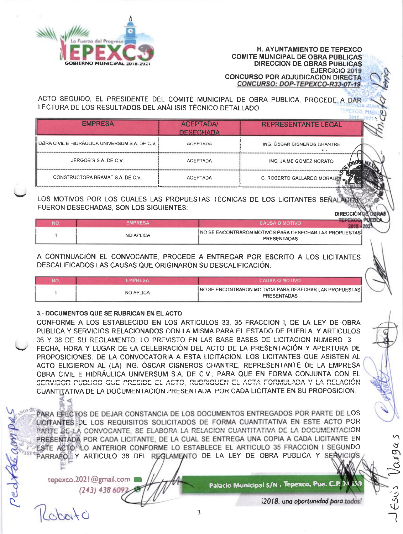

**H. AYUNTAMIENTO DE TEPEXCO COMITÉ MUNICIPAL DE OBRA PÚBLICAS DIRECCION DE OBRAS PÚBLICAS EJERCICIO 2019 CONCURSO POR ADJUDICACION DIRECTA** CONCURSO: DOP-TEPEXCO-R33-07-19

ACTO SEGUIDO. EL PRESIDENTE DEL COMITÉ MUNICIPAL DE OBRA PUBLICA, PROCEDE A DAR LECTURA DE LOS RESULTADOS DEL ANÁLISIS TÉCNICO DETALLADO **EPEXCO** 

| <b>EMPRESA</b>                                 | <b>ACEPTADA/</b><br><b>DESECHADA</b> | <b>REPRESENTANTE LEGAL</b>  |  |
|------------------------------------------------|--------------------------------------|-----------------------------|--|
| OBRA CIVIL E HIDRAULICA UNIVERSUM S.A. DE C.V. | <b>AULFIADA</b>                      | ING. OSCAR CISNERUS CHANTRE |  |
| JERGOB'S S A DE C V.                           | <b>ACEPTADA</b>                      | ING. JAIME GOMEZ NORATO     |  |
| CONSTRUCTORA BRAMAT S.A. DE C.V.               | <b>ACEPTADA</b>                      | C. ROBERTO GALLARDO MORALES |  |

LOS MOTIVOS POR LOS CUALES LAS PROPUESTAS TÉCNICAS DE LOS LICITANTES SEÑALADO FUERON DESECHADAS, SON LOS SIGUIENTES:

**DIRECCIÓN D** 

| NC | EMPRESA          | CAUSA O MOTIVO                                                                  |
|----|------------------|---------------------------------------------------------------------------------|
|    | <b>NO APLICA</b> | INO SE ENCONTRARON MOTIVOS PARA DESECHAR LAS PROPUESTAS I<br><b>PRESENTADAS</b> |

A CONTINUACIÓN EL CONVOCANTE, PROCEDE A ENTREGAR POR ESCRITO A LOS LICITANTES DESCALIFICADOS LAS CAUSAS QUE ORIGINARON SU DESCALIFICACIÓN.

| NC | EMPRESA          | CAUSA O MOTIVO                                                                         |  |
|----|------------------|----------------------------------------------------------------------------------------|--|
|    | <b>NO APLICA</b> | <b>INO SE ENCONTRARON MOTIVOS PARA DESECHAR LAS PROPUESTAS I</b><br><b>PRESENTADAS</b> |  |

#### 3.- DOCUMENTOS QUE SE RUBRICAN EN EL ACTO

CONFORME A LOS ESTABLECIDO EN LOS ARTICULOS 33, 35 FRACCION I, DE LA LEY DE OBRA PUBLICA Y SERVICIOS RELACIONADOS CON LA MISMA PARA EL ESTADO DE PUEBLA. Y ARTICULOS 36 Y 38 DE SU REGLAMENTO, LO PREVISTO EN LAS BASE BASES DE LICITACION NUMERO 3. FECHA, HORA Y LUGAR DE LA CELEBRACIÓN DEL ACTO DE LA PRESENTACIÓN Y APERTURA DE PROPOSICIONES. DE LA CONVOCATORIA A ESTA LICITACION, LOS LICITANTES QUE ASISTEN AL ACTO ELIGIERON AL (LA) ING. ÓSCAR CISNEROS CHANTRE, REPRESENTANTE DE LA EMPRESA OBRA CIVIL E HIDRÁULICA UNIVERSUM S.A. DE C.V., PARA QUE EN FORMA CONJUNTA CON EL SERVIDOR PUBLICO QUE PRESIDE EL ACTO, RUBRIQUEN EL ACTA FORMULADA Y LA RELACIÓN CUANTITATIVA DE LA DOCUMENTACIÓN PRESENTADA POR CADA LICITANTE EN SU PROPOSICIÓN.

PARA EFECTOS DE DEJAR CONSTANCIA DE LOS DOCUMENTOS ENTREGADOS POR PARTE DE LOS LICITANTES DE LOS REQUISITOS SOLICITADOS DE FORMA CUANTITATIVA EN ESTE ACTO POR PARTE DE LA CONVOCANTE. SE ELABORA LA RELACION CUANTITATIVA DE LA DOCUMENTACION PRESENTADA POR CADA LICITANTE, DE LA CUAL SE ENTREGA UNA COPIA A CADA LICITANTE EN ESTE ACTORLO ANTERIOR CONFORME LO ESTABLECE EL ARTICULO 35 FRACCION I SEGUNDO PARRAFOLLY ARTICULO 38 DEL REGLAMENTO DE LA LEY DE OBRA PUBLICA Y SERVICIOS

tepexco.2021@gmail.com

Kobato

 $(243)$  438 609

Palacio Municipal S/N . Tepexco, Pue. C.P. 74

i2018, una oportunidad para todos!

ESUS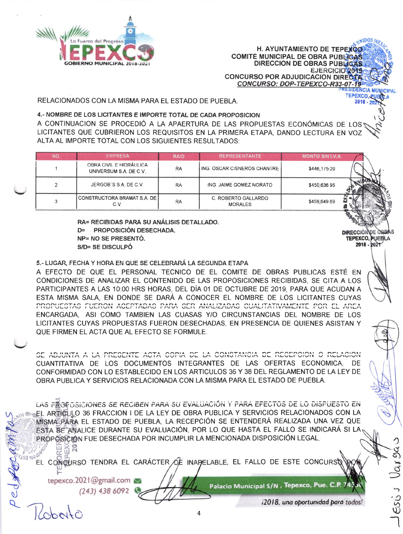

H. AYUNTAMIENTO DE TEPEXCO **COMITE MUNICIPAL DE OBRA PUBLIGAS DIRECCION DE OBRAS PUBLICAS** EJERCICIO 2019 **CONCURSO POR ADJUDICACION DIRECT** CONCURSO: DOP-TEPEXCO-R33-07-19

RELACIONADOS CON LA MISMA PARA EL ESTADO DE PUEBLA.

#### 4.- NOMBRE DE LOS LICITANTES E IMPORTE TOTAL DE CADA PROPOSICION

A CONTINUACION SE PROCEDIÓ A LA APAERTURA DE LAS PROPUESTAS ECONÓMICAS DE LOSS LICITANTES QUE CUBRIERON LOS REQUISITOS EN LA PRIMERA ETAPA, DANDO LECTURA EN VOZ ALTA AL IMPORTE TOTAL CON LOS SIGUIENTES RESULTADOS:

| <b>NO</b> | <b>EMPRESA</b>                                    | <b>RA/D</b> | <b>REPRESENTANTE</b>                  | <b>MONTO SIN I.V.A.</b> |  |
|-----------|---------------------------------------------------|-------------|---------------------------------------|-------------------------|--|
|           | OBRA CIVIL E HIDRÁULICA<br>UNIVERSUM S.A. DE C.V. | RA          | ING. OSCAR CISNEROS CHANTRE           | \$446,175.20            |  |
|           | JERGOB'S S.A. DE C.V.                             | <b>RA</b>   | ING. JAIME GOMEZ NORATO               | \$450,636.95            |  |
|           | CONSTRUCTORA BRAMAT S.A. DE I<br>C.V.             | <b>RA</b>   | C. ROBERTO GALLARDO<br><b>MORALES</b> | \$459,649.69            |  |

RA= RECIBIDAS PARA SU ANÁLISIS DETALLADO. D= PROPOSICIÓN DESECHADA. NP= NO SE PRESENTÓ. S/D= SE DISCULPÓ

5.- LUGAR, FECHA Y HORA EN QUE SE CELEBRARÁ LA SEGUNDA ETAPA

A EFECTO DE QUE EL PERSONAL TECNICO DE EL COMITE DE OBRAS PUBLICAS ESTÉ EN CONDICIONES DE ANALIZAR EL CONTENIDO DE LAS PROPOSICIONES RECIBIDAS, SE CITA A LOS PARTICIPANTES A LAS 10:00 HRS HORAS, DEL DÍA 01 DE OCTUBRE DE 2019, PARA QUE ACUDAN A ESTA MISMA SALA. EN DONDE SE DARÁ A CONOCER EL NOMBRE DE LOS LICITANTES CUYAS PROPUESTAS FUERON ACEPTADAS PARA SER ANALIZADAS CUALITATIVAMENTE POR EL AREA ENCARGADA. ASI COMO TAMBIEN LAS CUASAS Y/O CIRCUNSTANCIAS DEL NOMBRE DE LOS LICITANTES CUYAS PROPUESTAS FUERON DESECHADAS. EN PRESENCIA DE QUIENES ASISTAN Y QUE FIRMEN EL ACTA QUE AL EFECTO SE FORMULE.

SE ADJUNTA A LA PRESENTE ACTA COPIA DE LA CONSTANCIA DE RECEPCION O RELACION CUANTITATIVA DE LOS DOCUMENTOS INTEGRANTES DE LAS OFERTAS ECONOMICA, DE CONFORMIDAD CON LO ESTABLECIDO EN LOS ARTICULOS 36 Y 38 DEL REGLAMENTO DE LA LEY DE OBRA PUBLICA Y SERVICIOS RELACIONADA CON LA MISMA PARA EL ESTADO DE PUEBLA.

LAS PROPOSICIONES SE RECIBEN PARA SU EVALUACIÓN Y PARA EFECTOS DE LO DISPUESTO EN EL ARTIQULO 36 FRACCION I DE LA LEY DE OBRA PUBLICA Y SERVICIOS RELACIONADOS CON LA MISMA PÁRA EL ESTADO DE PUEBLA, LA RECEPCIÓN SE ENTENDERÁ REALIZADA UNA VEZ QUE ÉSTA SE ANALICE DURANTE SU EVALUACIÓN, POR LO QUE HASTA EL FALLO SE INDICARÁ SI LA PROPOSICIÓN FUE DESECHADA POR INCUMPLIR LA MENCIONADA DISPOSICIÓN LEGAL. 111

EL CONCURSO TENDRA EL CARÁCTER DE INAPELABLE, EL FALLO DE ESTE CONCURS

tepexco.2021@gmail.com  $(243)$  438 6092

 $\triangle beto$ 

Palacio Municipal S/N , Tepexco, Pue. C.P. 74

**DIRECCIÓNDE OS** TEPEXCO, PUEBLA 2018 - 2021

**RIDOS** 

TEPEXCO, PI

 $2018 - 21$ 



Vai 94

i2018, una oportunidad para todos!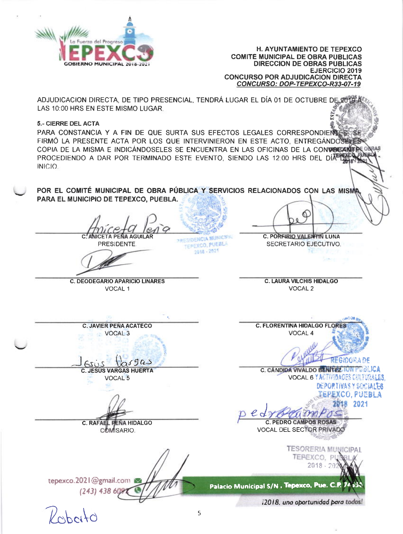

**H. AYUNTAMIENTO DE TEPEXCO COMITÉ MUNICIPAL DE OBRA PÚBLICAS DIRECCION DE OBRAS PUBLICAS EJERCICIO 2019 CONCURSO POR ADJUDICACION DIRECTA** CONCURSO: DOP-TEPEXCO-R33-07-19

ADJUDICACION DIRECTA, DE TIPO PRESENCIAL, TENDRÁ LUGAR EL DÍA 01 DE OCTUBRE DE 20 LAS 10:00 HRS EN ESTE MISMO LUGAR.

#### **5.- CIERRE DEL ACTA**

PARA CONSTANCIA Y A FIN DE QUE SURTA SUS EFECTOS LEGALES CORRESPONDIENT FIRMÓ LA PRESENTE ACTA POR LOS QUE INTERVINIERON EN ESTE ACTO. ENTREGÁNDOS COPIA DE LA MISMA E INDICÁNDOSELES SE ENCUENTRA EN LAS OFICINAS DE LA CONVOCANTE ONRAS PROCEDIENDO A DAR POR TERMINADO ESTE EVENTO, SIENDO LAS 12:00 HRS DEL DÍA TEL **INICIO** 

POR EL COMITÉ MUNICIPAL DE OBRA PÚBLICA Y SERVICIOS RELACIONADOS CON LAS MISMA PARA EL MUNICIPIO DE TEPEXCO. PUEBLA.

**C. ANICETA PEÑA AGUILAR PRESIDENTE** 

**PRESIDENCIA MUNICIPA** TEPEXCO, PUEBLA  $2018 - 2021$ 

C. PORFIRIO VALENTIN LUNA

SECRETARIO EJECUTIVO.

**C. DEODEGARIO APARICIO LINARES** VOCAL<sub>1</sub>

**C. LAURA VILCHIS HIDALGO VOCAL 2** 

**C. JAVIER PEÑA ACATECO** VOCAL<sub>3</sub>

 $05905$ **C. JESÚS VARGAS HUERTA VOCAL 5** 

C. RAFAEL PEÑA HIDALGO COMISARIO.

tepexco.2021@gmail.com  $(243) 43860$ 

**C. FLORENTINA HIDALGO FLORES** VOCAL 4

FRIDGEADE

C. CANDIDA VIVALDO BENITEZ IUN PUBLICA VOCAL 6 YACTIFIBACES CULTURALES DEPORTIVAS Y SOCIALES

**EPEXCO, PUEBLA** 

2018 2021 **C. PEDRO CAMPOS ROSAS** 

**VOCAL DEL SECTOR PRIVADO** 

**TESORERIA MUNICIPAL** TEPEXCO, PI  $2018.26$ 

Palacio Municipal S/N. Tepexco, Pue. C.P.

i2018, una oportunidad para todos!

 $l'$ ched